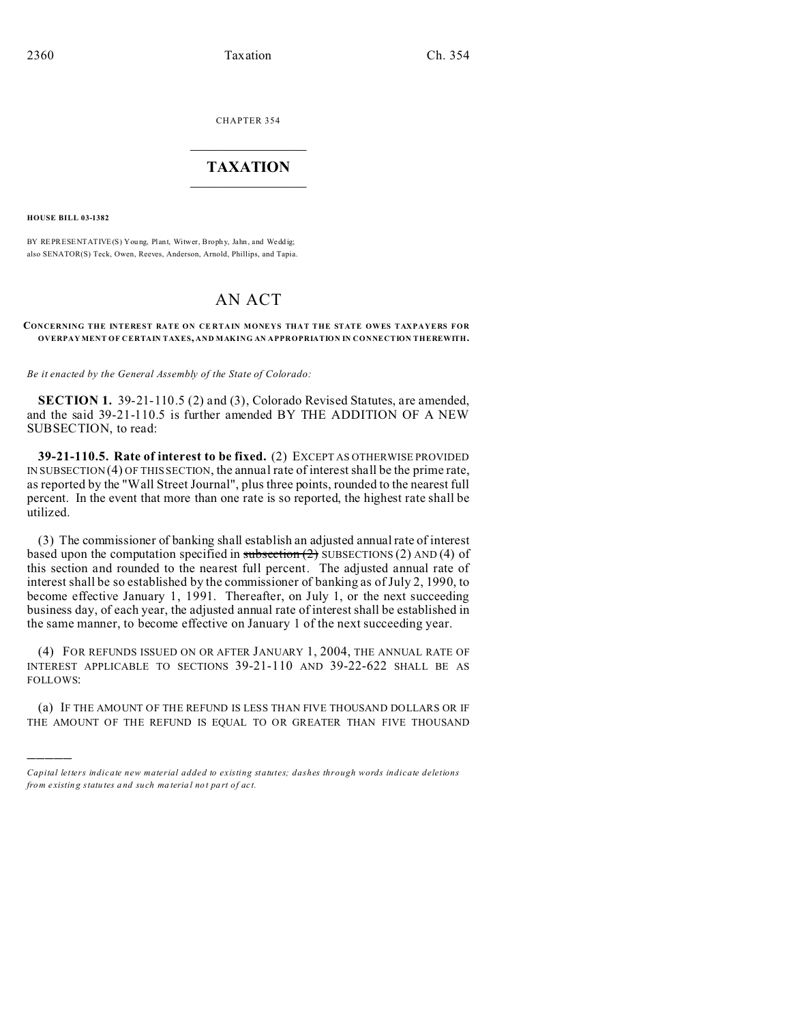CHAPTER 354  $\overline{\phantom{a}}$  , where  $\overline{\phantom{a}}$ 

## **TAXATION**  $\_$

**HOUSE BILL 03-1382**

)))))

BY REPRESENTATIVE(S) Young, Plant, Witwer, Brophy, Jahn, and Weddig; also SENATOR(S) Teck, Owen, Reeves, Anderson, Arnold, Phillips, and Tapia.

## AN ACT

## **CONCERNING THE INTEREST RATE ON CE RTAIN MONEYS THAT THE STATE OWES TAXPAYERS FOR OVERPAY MENT OF CERTAIN TAXES, AND MAKING AN APPROPRIATION IN CONNECTION THEREWITH.**

*Be it enacted by the General Assembly of the State of Colorado:*

**SECTION 1.** 39-21-110.5 (2) and (3), Colorado Revised Statutes, are amended, and the said 39-21-110.5 is further amended BY THE ADDITION OF A NEW SUBSECTION, to read:

**39-21-110.5. Rate of interest to be fixed.** (2) EXCEPT AS OTHERWISE PROVIDED IN SUBSECTION (4) OF THIS SECTION, the annual rate of interest shall be the prime rate, as reported by the "Wall Street Journal", plus three points, rounded to the nearest full percent. In the event that more than one rate is so reported, the highest rate shall be utilized.

(3) The commissioner of banking shall establish an adjusted annual rate of interest based upon the computation specified in  $\frac{\text{subsection}(2)}{2}$  SUBSECTIONS (2) AND (4) of this section and rounded to the nearest full percent. The adjusted annual rate of interest shall be so established by the commissioner of banking as of July 2, 1990, to become effective January 1, 1991. Thereafter, on July 1, or the next succeeding business day, of each year, the adjusted annual rate of interest shall be established in the same manner, to become effective on January 1 of the next succeeding year.

(4) FOR REFUNDS ISSUED ON OR AFTER JANUARY 1, 2004, THE ANNUAL RATE OF INTEREST APPLICABLE TO SECTIONS 39-21-110 AND 39-22-622 SHALL BE AS FOLLOWS:

(a) IF THE AMOUNT OF THE REFUND IS LESS THAN FIVE THOUSAND DOLLARS OR IF THE AMOUNT OF THE REFUND IS EQUAL TO OR GREATER THAN FIVE THOUSAND

*Capital letters indicate new material added to existing statutes; dashes through words indicate deletions from e xistin g statu tes a nd such ma teria l no t pa rt of ac t.*